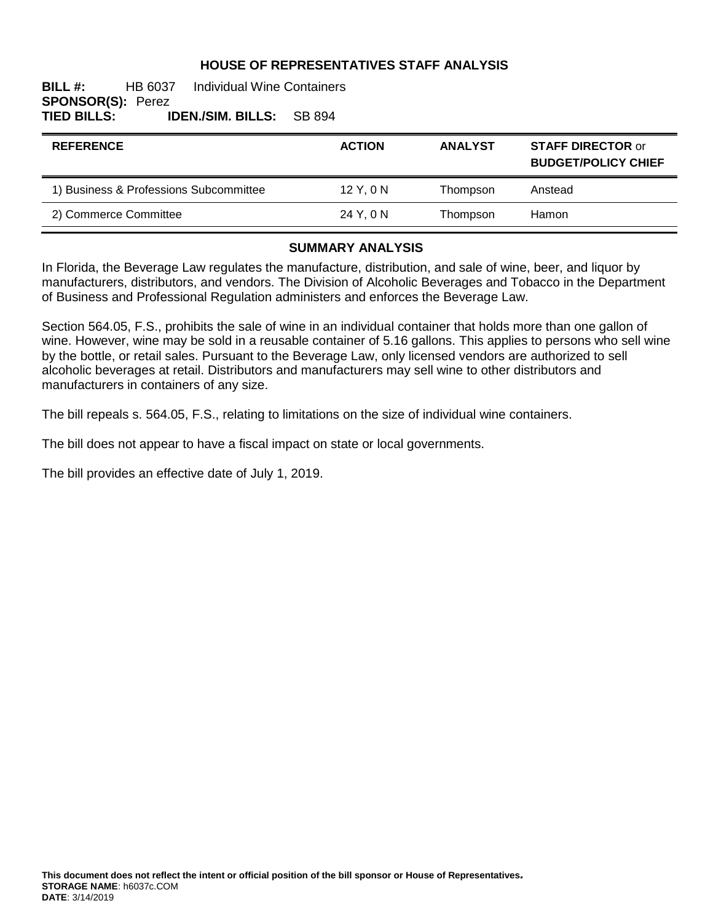## **HOUSE OF REPRESENTATIVES STAFF ANALYSIS**

### **BILL #:** HB 6037 Individual Wine Containers **SPONSOR(S): Perez<br>TIED BILLS: I TIED BILLS: IDEN./SIM. BILLS:** SB 894

| <b>REFERENCE</b>                       | <b>ACTION</b> | <b>ANALYST</b> | <b>STAFF DIRECTOR or</b><br><b>BUDGET/POLICY CHIEF</b> |
|----------------------------------------|---------------|----------------|--------------------------------------------------------|
| 1) Business & Professions Subcommittee | $12$ Y, 0 N   | Thompson       | Anstead                                                |
| 2) Commerce Committee                  | 24 Y. 0 N     | Thompson       | Hamon                                                  |

#### **SUMMARY ANALYSIS**

In Florida, the Beverage Law regulates the manufacture, distribution, and sale of wine, beer, and liquor by manufacturers, distributors, and vendors. The Division of Alcoholic Beverages and Tobacco in the Department of Business and Professional Regulation administers and enforces the Beverage Law.

Section 564.05, F.S., prohibits the sale of wine in an individual container that holds more than one gallon of wine. However, wine may be sold in a reusable container of 5.16 gallons. This applies to persons who sell wine by the bottle, or retail sales. Pursuant to the Beverage Law, only licensed vendors are authorized to sell alcoholic beverages at retail. Distributors and manufacturers may sell wine to other distributors and manufacturers in containers of any size.

The bill repeals s. 564.05, F.S., relating to limitations on the size of individual wine containers.

The bill does not appear to have a fiscal impact on state or local governments.

The bill provides an effective date of July 1, 2019.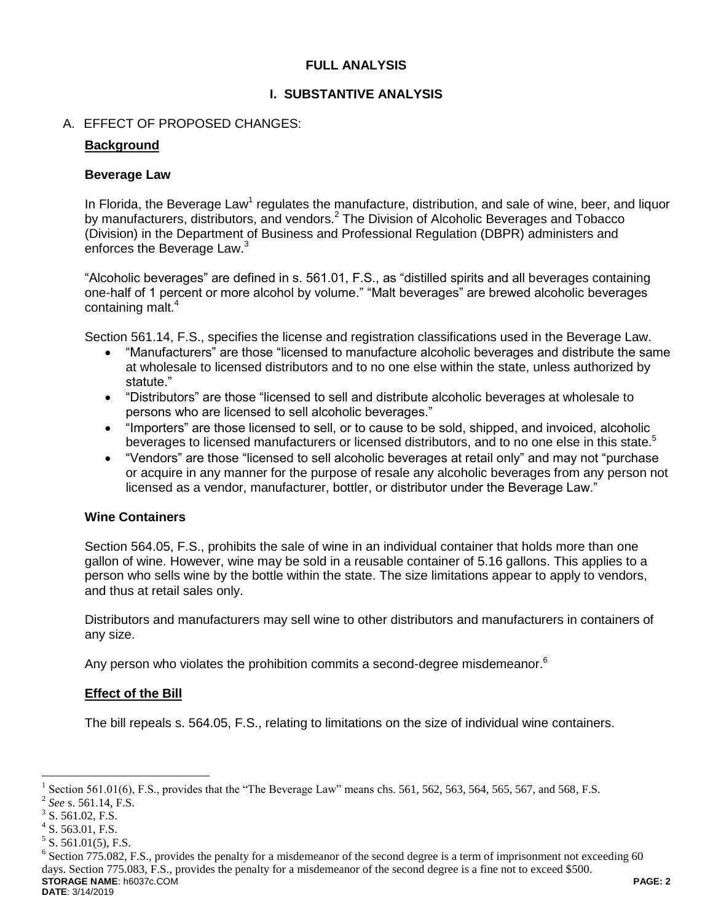## **FULL ANALYSIS**

## **I. SUBSTANTIVE ANALYSIS**

## A. EFFECT OF PROPOSED CHANGES:

### **Background**

### **Beverage Law**

In Florida, the Beverage Law<sup>1</sup> regulates the manufacture, distribution, and sale of wine, beer, and liquor by manufacturers, distributors, and vendors.<sup>2</sup> The Division of Alcoholic Beverages and Tobacco (Division) in the Department of Business and Professional Regulation (DBPR) administers and enforces the Beverage Law.<sup>3</sup>

"Alcoholic beverages" are defined in s. 561.01, F.S., as "distilled spirits and all beverages containing one-half of 1 percent or more alcohol by volume." "Malt beverages" are brewed alcoholic beverages containing malt.<sup>4</sup>

Section 561.14, F.S., specifies the license and registration classifications used in the Beverage Law.

- "Manufacturers" are those "licensed to manufacture alcoholic beverages and distribute the same at wholesale to licensed distributors and to no one else within the state, unless authorized by statute."
- "Distributors" are those "licensed to sell and distribute alcoholic beverages at wholesale to persons who are licensed to sell alcoholic beverages."
- "Importers" are those licensed to sell, or to cause to be sold, shipped, and invoiced, alcoholic beverages to licensed manufacturers or licensed distributors, and to no one else in this state.<sup>5</sup>
- "Vendors" are those "licensed to sell alcoholic beverages at retail only" and may not "purchase or acquire in any manner for the purpose of resale any alcoholic beverages from any person not licensed as a vendor, manufacturer, bottler, or distributor under the Beverage Law."

### **Wine Containers**

Section 564.05, F.S., prohibits the sale of wine in an individual container that holds more than one gallon of wine. However, wine may be sold in a reusable container of 5.16 gallons. This applies to a person who sells wine by the bottle within the state. The size limitations appear to apply to vendors, and thus at retail sales only.

Distributors and manufacturers may sell wine to other distributors and manufacturers in containers of any size.

Any person who violates the prohibition commits a second-degree misdemeanor.<sup>6</sup>

### **Effect of the Bill**

The bill repeals s. 564.05, F.S., relating to limitations on the size of individual wine containers.

 $\overline{a}$ 

<sup>1</sup> Section 561.01(6), F.S., provides that the "The Beverage Law" means chs. 561, 562, 563, 564, 565, 567, and 568, F.S.

<sup>2</sup> *See* s. 561.14, F.S.

 $3$  S. 561.02, F.S.

 $4$  S. 563.01, F.S.

 $5$  S. 561.01(5), F.S.

**STORAGE NAME**: h6037c.COM **PAGE: 2 DATE**: 3/14/2019 <sup>6</sup> Section 775.082, F.S., provides the penalty for a misdemeanor of the second degree is a term of imprisonment not exceeding 60 days. Section 775.083, F.S., provides the penalty for a misdemeanor of the second degree is a fine not to exceed \$500.